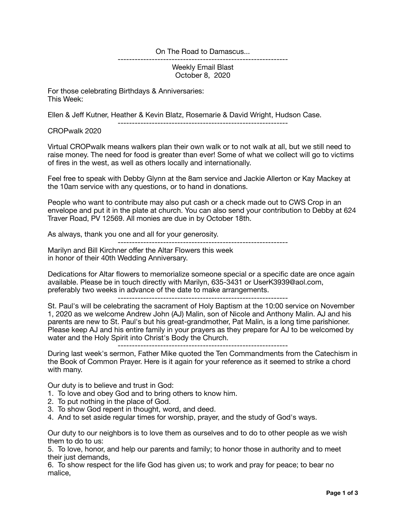On The Road to Damascus...

------------------------------------------------------------ Weekly Email Blast October 8, 2020

For those celebrating Birthdays & Anniversaries: This Week:

Ellen & Jeff Kutner, Heather & Kevin Blatz, Rosemarie & David Wright, Hudson Case.

------------------------------------------------------------

CROPwalk 2020

Virtual CROPwalk means walkers plan their own walk or to not walk at all, but we still need to raise money. The need for food is greater than ever! Some of what we collect will go to victims of fires in the west, as well as others locally and internationally.

Feel free to speak with Debby Glynn at the 8am service and Jackie Allerton or Kay Mackey at the 10am service with any questions, or to hand in donations.

People who want to contribute may also put cash or a check made out to CWS Crop in an envelope and put it in the plate at church. You can also send your contribution to Debby at 624 Traver Road, PV 12569. All monies are due in by October 18th.

As always, thank you one and all for your generosity.

------------------------------------------------------------ Marilyn and Bill Kirchner offer the Altar Flowers this week in honor of their 40th Wedding Anniversary.

Dedications for Altar flowers to memorialize someone special or a specific date are once again available. Please be in touch directly with Marilyn, 635-3431 or UserK3939@aol.com, preferably two weeks in advance of the date to make arrangements.

------------------------------------------------------------

St. Paul's will be celebrating the sacrament of Holy Baptism at the 10:00 service on November 1, 2020 as we welcome Andrew John (AJ) Malin, son of Nicole and Anthony Malin. AJ and his parents are new to St. Paul's but his great-grandmother, Pat Malin, is a long time parishioner. Please keep AJ and his entire family in your prayers as they prepare for AJ to be welcomed by water and the Holy Spirit into Christ's Body the Church.

------------------------------------------------------------

During last week's sermon, Father Mike quoted the Ten Commandments from the Catechism in the Book of Common Prayer. Here is it again for your reference as it seemed to strike a chord with many.

Our duty is to believe and trust in God:

- 1. To love and obey God and to bring others to know him.
- 2. To put nothing in the place of God.
- 3. To show God repent in thought, word, and deed.
- 4. And to set aside regular times for worship, prayer, and the study of God's ways.

Our duty to our neighbors is to love them as ourselves and to do to other people as we wish them to do to us:

5. To love, honor, and help our parents and family; to honor those in authority and to meet their just demands.

6. To show respect for the life God has given us; to work and pray for peace; to bear no malice,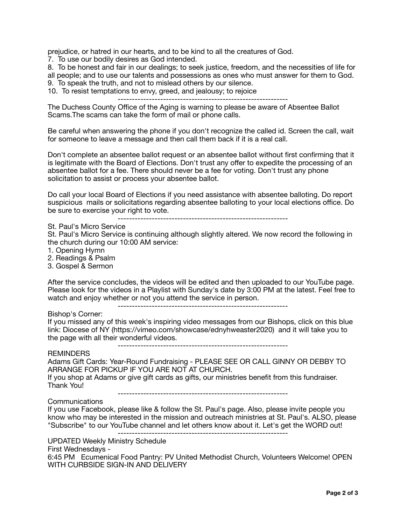prejudice, or hatred in our hearts, and to be kind to all the creatures of God.

7. To use our bodily desires as God intended.

8. To be honest and fair in our dealings; to seek justice, freedom, and the necessities of life for all people; and to use our talents and possessions as ones who must answer for them to God. 9. To speak the truth, and not to mislead others by our silence.

10. To resist temptations to envy, greed, and jealousy; to rejoice

------------------------------------------------------------

The Duchess County Office of the Aging is warning to please be aware of Absentee Ballot Scams.The scams can take the form of mail or phone calls.

Be careful when answering the phone if you don't recognize the called id. Screen the call, wait for someone to leave a message and then call them back if it is a real call.

Don't complete an absentee ballot request or an absentee ballot without first confirming that it is legitimate with the Board of Elections. Don't trust any offer to expedite the processing of an absentee ballot for a fee. There should never be a fee for voting. Don't trust any phone solicitation to assist or process your absentee ballot.

Do call your local Board of Elections if you need assistance with absentee balloting. Do report suspicious mails or solicitations regarding absentee balloting to your local elections office. Do be sure to exercise your right to vote.

------------------------------------------------------------

St. Paul's Micro Service

St. Paul's Micro Service is continuing although slightly altered. We now record the following in the church during our 10:00 AM service:

1. Opening Hymn

2. Readings & Psalm

3. Gospel & Sermon

After the service concludes, the videos will be edited and then uploaded to our YouTube page. Please look for the videos in a Playlist with Sunday's date by 3:00 PM at the latest. Feel free to watch and enjoy whether or not you attend the service in person.

------------------------------------------------------------

## Bishop's Corner:

If you missed any of this week's inspiring video messages from our Bishops, click on this blue link: Diocese of NY (https://vimeo.com/showcase/ednyhweaster2020) and it will take you to the page with all their wonderful videos.

------------------------------------------------------------

## **REMINDERS**

Adams Gift Cards: Year-Round Fundraising - PLEASE SEE OR CALL GINNY OR DEBBY TO ARRANGE FOR PICKUP IF YOU ARE NOT AT CHURCH.

If you shop at Adams or give gift cards as gifts, our ministries benefit from this fundraiser. Thank You!

------------------------------------------------------------

## Communications

If you use Facebook, please like & follow the St. Paul's page. Also, please invite people you know who may be interested in the mission and outreach ministries at St. Paul's. ALSO, please "Subscribe" to our YouTube channel and let others know about it. Let's get the WORD out!

------------------------------------------------------------

UPDATED Weekly Ministry Schedule First Wednesdays - 6:45 PM Ecumenical Food Pantry: PV United Methodist Church, Volunteers Welcome! OPEN WITH CURBSIDE SIGN-IN AND DELIVERY